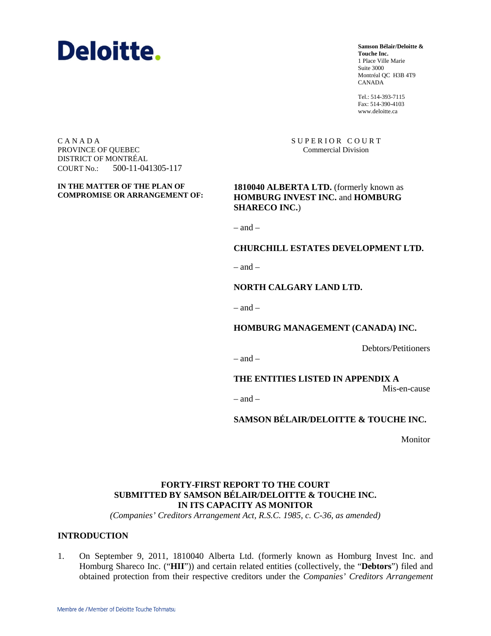

**Samson Bélair/Deloitte & Touche Inc.** 1 Place Ville Marie Suite 3000 Montréal QC H3B 4T9 CANADA

Tel.: 514-393-7115 Fax: 514-390-4103 www.deloitte.ca

SUPERIOR COURT Commercial Division

C A N A D A PROVINCE OF QUEBEC DISTRICT OF MONTRÉAL COURT No.: 500-11-041305-117

**IN THE MATTER OF THE PLAN OF COMPROMISE OR ARRANGEMENT OF:** 

**1810040 ALBERTA LTD.** (formerly known as **HOMBURG INVEST INC.** and **HOMBURG SHARECO INC.**)

 $=$  and  $=$ 

#### **CHURCHILL ESTATES DEVELOPMENT LTD.**

 $=$  and  $=$ 

#### **NORTH CALGARY LAND LTD.**

 $-$  and  $-$ 

**HOMBURG MANAGEMENT (CANADA) INC.**

Debtors/Petitioners

 $-$  and  $-$ 

**THE ENTITIES LISTED IN APPENDIX A**

Mis-en-cause

 $-$  and  $-$ 

**SAMSON BÉLAIR/DELOITTE & TOUCHE INC.**

Monitor

### **FORTY-FIRST REPORT TO THE COURT SUBMITTED BY SAMSON BÉLAIR/DELOITTE & TOUCHE INC. IN ITS CAPACITY AS MONITOR**

*(Companies' Creditors Arrangement Act, R.S.C. 1985, c. C-36, as amended)*

#### **INTRODUCTION**

1. On September 9, 2011, 1810040 Alberta Ltd. (formerly known as Homburg Invest Inc. and Homburg Shareco Inc. ("**HII**")) and certain related entities (collectively, the "**Debtors**") filed and obtained protection from their respective creditors under the *Companies' Creditors Arrangement*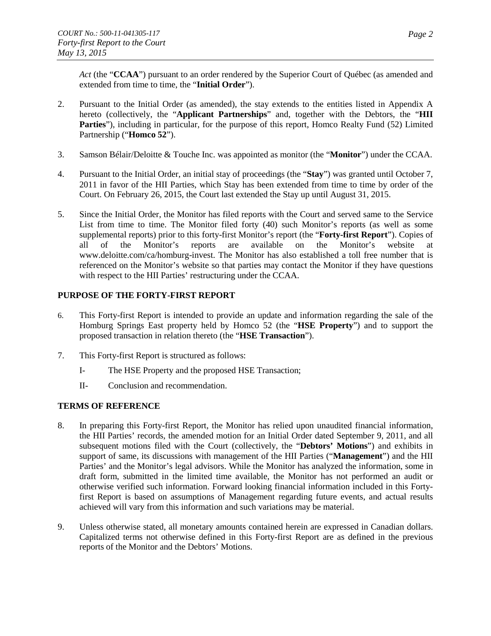*Act* (the "**CCAA**") pursuant to an order rendered by the Superior Court of Québec (as amended and extended from time to time, the "**Initial Order**").

- 2. Pursuant to the Initial Order (as amended), the stay extends to the entities listed in Appendix A hereto (collectively, the "**Applicant Partnerships**" and, together with the Debtors, the "**HII**  Parties"), including in particular, for the purpose of this report, Homco Realty Fund (52) Limited Partnership ("**Homco 52**").
- 3. Samson Bélair/Deloitte & Touche Inc. was appointed as monitor (the "**Monitor**") under the CCAA.
- 4. Pursuant to the Initial Order, an initial stay of proceedings (the "**Stay**") was granted until October 7, 2011 in favor of the HII Parties, which Stay has been extended from time to time by order of the Court. On February 26, 2015, the Court last extended the Stay up until August 31, 2015.
- 5. Since the Initial Order, the Monitor has filed reports with the Court and served same to the Service List from time to time. The Monitor filed forty (40) such Monitor's reports (as well as some supplemental reports) prior to this forty-first Monitor's report (the "**Forty-first Report**"). Copies of all of the Monitor's reports are available on the Monitor's website at all of the Monitor's reports are available on the Monitor's website at www.deloitte.com/ca/homburg-invest. The Monitor has also established a toll free number that is referenced on the Monitor's website so that parties may contact the Monitor if they have questions with respect to the HII Parties' restructuring under the CCAA.

#### **PURPOSE OF THE FORTY-FIRST REPORT**

- 6. This Forty-first Report is intended to provide an update and information regarding the sale of the Homburg Springs East property held by Homco 52 (the "**HSE Property**") and to support the proposed transaction in relation thereto (the "**HSE Transaction**").
- 7. This Forty-first Report is structured as follows:
	- I- The HSE Property and the proposed HSE Transaction;
	- II- Conclusion and recommendation.

# **TERMS OF REFERENCE**

- 8. In preparing this Forty-first Report, the Monitor has relied upon unaudited financial information, the HII Parties' records, the amended motion for an Initial Order dated September 9, 2011, and all subsequent motions filed with the Court (collectively, the "**Debtors' Motions**") and exhibits in support of same, its discussions with management of the HII Parties ("**Management**") and the HII Parties' and the Monitor's legal advisors. While the Monitor has analyzed the information, some in draft form, submitted in the limited time available, the Monitor has not performed an audit or otherwise verified such information. Forward looking financial information included in this Fortyfirst Report is based on assumptions of Management regarding future events, and actual results achieved will vary from this information and such variations may be material.
- 9. Unless otherwise stated, all monetary amounts contained herein are expressed in Canadian dollars. Capitalized terms not otherwise defined in this Forty-first Report are as defined in the previous reports of the Monitor and the Debtors' Motions.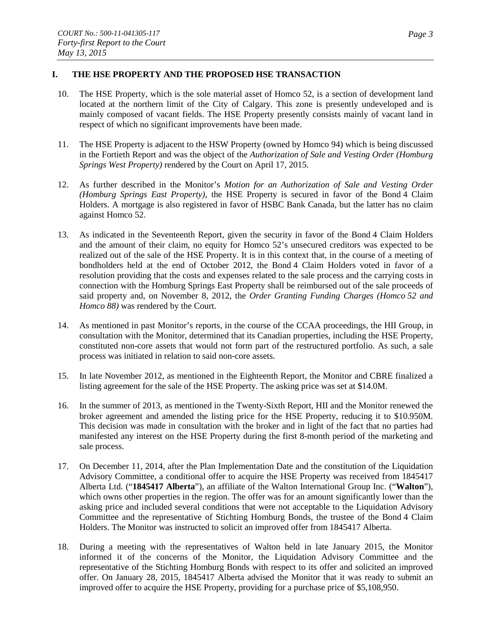### **I. THE HSE PROPERTY AND THE PROPOSED HSE TRANSACTION**

- 10. The HSE Property, which is the sole material asset of Homco 52, is a section of development land located at the northern limit of the City of Calgary. This zone is presently undeveloped and is mainly composed of vacant fields. The HSE Property presently consists mainly of vacant land in respect of which no significant improvements have been made.
- 11. The HSE Property is adjacent to the HSW Property (owned by Homco 94) which is being discussed in the Fortieth Report and was the object of the *Authorization of Sale and Vesting Order (Homburg Springs West Property)* rendered by the Court on April 17, 2015.
- 12. As further described in the Monitor's *Motion for an Authorization of Sale and Vesting Order (Homburg Springs East Property)*, the HSE Property is secured in favor of the Bond 4 Claim Holders. A mortgage is also registered in favor of HSBC Bank Canada, but the latter has no claim against Homco 52.
- 13. As indicated in the Seventeenth Report, given the security in favor of the Bond 4 Claim Holders and the amount of their claim, no equity for Homco 52's unsecured creditors was expected to be realized out of the sale of the HSE Property. It is in this context that, in the course of a meeting of bondholders held at the end of October 2012, the Bond 4 Claim Holders voted in favor of a resolution providing that the costs and expenses related to the sale process and the carrying costs in connection with the Homburg Springs East Property shall be reimbursed out of the sale proceeds of said property and, on November 8, 2012, the *Order Granting Funding Charges (Homco 52 and Homco 88)* was rendered by the Court.
- 14. As mentioned in past Monitor's reports, in the course of the CCAA proceedings, the HII Group, in consultation with the Monitor, determined that its Canadian properties, including the HSE Property, constituted non-core assets that would not form part of the restructured portfolio. As such, a sale process was initiated in relation to said non-core assets.
- 15. In late November 2012, as mentioned in the Eighteenth Report, the Monitor and CBRE finalized a listing agreement for the sale of the HSE Property. The asking price was set at \$14.0M.
- 16. In the summer of 2013, as mentioned in the Twenty-Sixth Report, HII and the Monitor renewed the broker agreement and amended the listing price for the HSE Property, reducing it to \$10.950M. This decision was made in consultation with the broker and in light of the fact that no parties had manifested any interest on the HSE Property during the first 8-month period of the marketing and sale process.
- 17. On December 11, 2014, after the Plan Implementation Date and the constitution of the Liquidation Advisory Committee, a conditional offer to acquire the HSE Property was received from 1845417 Alberta Ltd. ("**1845417 Alberta**"), an affiliate of the Walton International Group Inc. ("**Walton**"), which owns other properties in the region. The offer was for an amount significantly lower than the asking price and included several conditions that were not acceptable to the Liquidation Advisory Committee and the representative of Stichting Homburg Bonds, the trustee of the Bond 4 Claim Holders. The Monitor was instructed to solicit an improved offer from 1845417 Alberta.
- 18. During a meeting with the representatives of Walton held in late January 2015, the Monitor informed it of the concerns of the Monitor, the Liquidation Advisory Committee and the representative of the Stichting Homburg Bonds with respect to its offer and solicited an improved offer. On January 28, 2015, 1845417 Alberta advised the Monitor that it was ready to submit an improved offer to acquire the HSE Property, providing for a purchase price of \$5,108,950.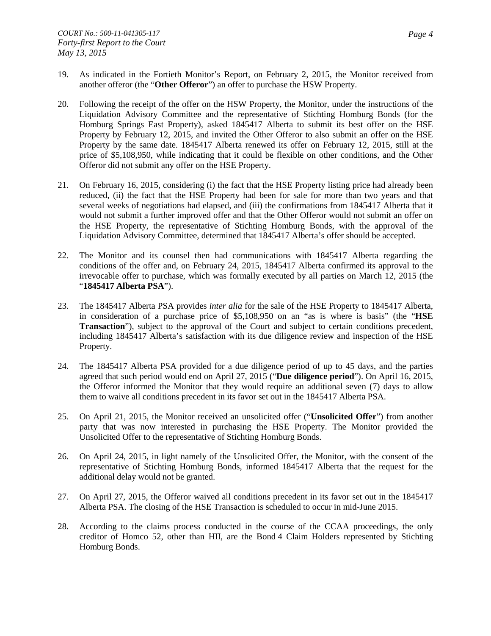- 19. As indicated in the Fortieth Monitor's Report, on February 2, 2015, the Monitor received from another offeror (the "**Other Offeror**") an offer to purchase the HSW Property.
- 20. Following the receipt of the offer on the HSW Property, the Monitor, under the instructions of the Liquidation Advisory Committee and the representative of Stichting Homburg Bonds (for the Homburg Springs East Property), asked 1845417 Alberta to submit its best offer on the HSE Property by February 12, 2015, and invited the Other Offeror to also submit an offer on the HSE Property by the same date. 1845417 Alberta renewed its offer on February 12, 2015, still at the price of \$5,108,950, while indicating that it could be flexible on other conditions, and the Other Offeror did not submit any offer on the HSE Property.
- 21. On February 16, 2015, considering (i) the fact that the HSE Property listing price had already been reduced, (ii) the fact that the HSE Property had been for sale for more than two years and that several weeks of negotiations had elapsed, and (iii) the confirmations from 1845417 Alberta that it would not submit a further improved offer and that the Other Offeror would not submit an offer on the HSE Property, the representative of Stichting Homburg Bonds, with the approval of the Liquidation Advisory Committee, determined that 1845417 Alberta's offer should be accepted.
- 22. The Monitor and its counsel then had communications with 1845417 Alberta regarding the conditions of the offer and, on February 24, 2015, 1845417 Alberta confirmed its approval to the irrevocable offer to purchase, which was formally executed by all parties on March 12, 2015 (the "**1845417 Alberta PSA**").
- 23. The 1845417 Alberta PSA provides *inter alia* for the sale of the HSE Property to 1845417 Alberta, in consideration of a purchase price of \$5,108,950 on an "as is where is basis" (the "**HSE Transaction**"), subject to the approval of the Court and subject to certain conditions precedent, including 1845417 Alberta's satisfaction with its due diligence review and inspection of the HSE Property.
- 24. The 1845417 Alberta PSA provided for a due diligence period of up to 45 days, and the parties agreed that such period would end on April 27, 2015 ("**Due diligence period**"). On April 16, 2015, the Offeror informed the Monitor that they would require an additional seven (7) days to allow them to waive all conditions precedent in its favor set out in the 1845417 Alberta PSA.
- 25. On April 21, 2015, the Monitor received an unsolicited offer ("**Unsolicited Offer**") from another party that was now interested in purchasing the HSE Property. The Monitor provided the Unsolicited Offer to the representative of Stichting Homburg Bonds.
- 26. On April 24, 2015, in light namely of the Unsolicited Offer, the Monitor, with the consent of the representative of Stichting Homburg Bonds, informed 1845417 Alberta that the request for the additional delay would not be granted.
- 27. On April 27, 2015, the Offeror waived all conditions precedent in its favor set out in the 1845417 Alberta PSA. The closing of the HSE Transaction is scheduled to occur in mid-June 2015.
- 28. According to the claims process conducted in the course of the CCAA proceedings, the only creditor of Homco 52, other than HII, are the Bond 4 Claim Holders represented by Stichting Homburg Bonds.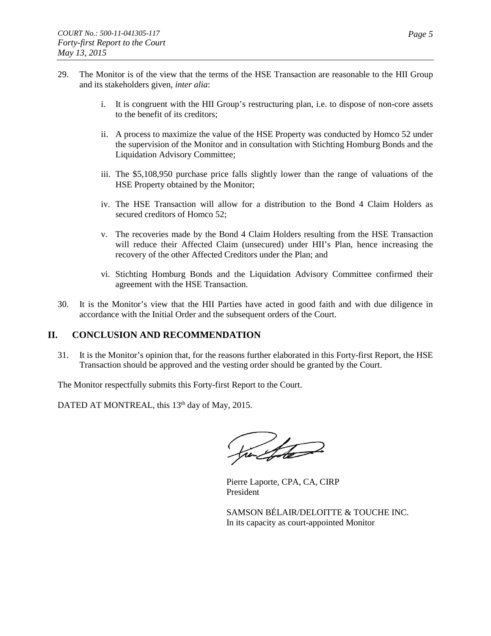- 29. The Monitor is of the view that the terms of the HSE Transaction are reasonable to the HII Group and its stakeholders given, *inter alia*:
	- i. It is congruent with the HII Group's restructuring plan, i.e. to dispose of non-core assets to the benefit of its creditors;
	- ii. A process to maximize the value of the HSE Property was conducted by Homco 52 under the supervision of the Monitor and in consultation with Stichting Homburg Bonds and the Liquidation Advisory Committee;
	- iii. The \$5,108,950 purchase price falls slightly lower than the range of valuations of the HSE Property obtained by the Monitor;
	- iv. The HSE Transaction will allow for a distribution to the Bond 4 Claim Holders as secured creditors of Homco 52;
	- v. The recoveries made by the Bond 4 Claim Holders resulting from the HSE Transaction will reduce their Affected Claim (unsecured) under HII's Plan, hence increasing the recovery of the other Affected Creditors under the Plan; and
	- vi. Stichting Homburg Bonds and the Liquidation Advisory Committee confirmed their agreement with the HSE Transaction.
- 30. It is the Monitor's view that the HII Parties have acted in good faith and with due diligence in accordance with the Initial Order and the subsequent orders of the Court.

# **II. CONCLUSION AND RECOMMENDATION**

31. It is the Monitor's opinion that, for the reasons further elaborated in this Forty-first Report, the HSE Transaction should be approved and the vesting order should be granted by the Court.

The Monitor respectfully submits this Forty-first Report to the Court.

DATED AT MONTREAL, this 13<sup>th</sup> day of May, 2015.

Sta

Pierre Laporte, CPA, CA, CIRP President

SAMSON BÉLAIR/DELOITTE & TOUCHE INC. In its capacity as court-appointed Monitor